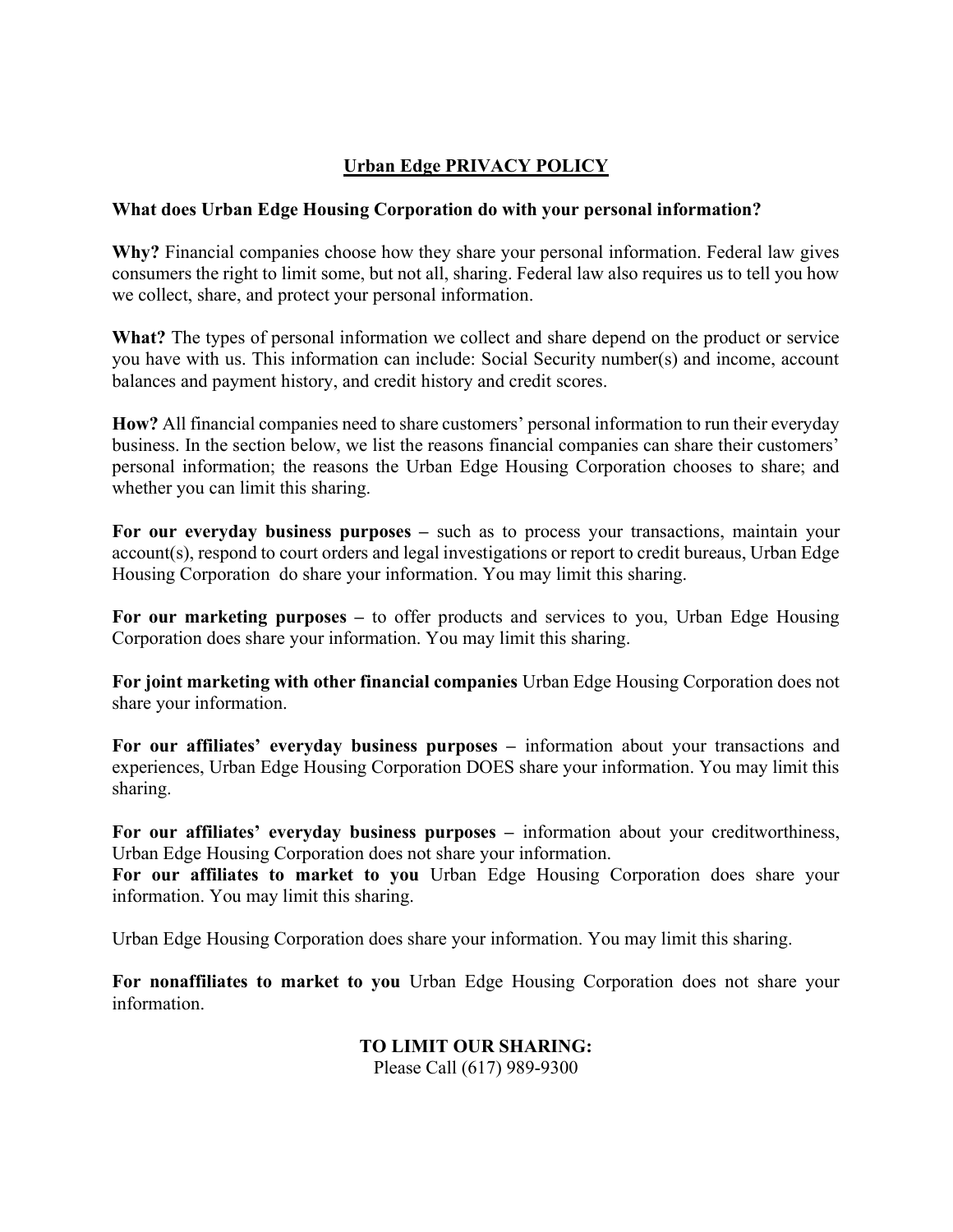# Urban Edge PRIVACY POLICY

#### What does Urban Edge Housing Corporation do with your personal information?

Why? Financial companies choose how they share your personal information. Federal law gives consumers the right to limit some, but not all, sharing. Federal law also requires us to tell you how we collect, share, and protect your personal information.

What? The types of personal information we collect and share depend on the product or service you have with us. This information can include: Social Security number(s) and income, account balances and payment history, and credit history and credit scores.

How? All financial companies need to share customers' personal information to run their everyday business. In the section below, we list the reasons financial companies can share their customers' personal information; the reasons the Urban Edge Housing Corporation chooses to share; and whether you can limit this sharing.

For our everyday business purposes – such as to process your transactions, maintain your account(s), respond to court orders and legal investigations or report to credit bureaus, Urban Edge Housing Corporation do share your information. You may limit this sharing.

For our marketing purposes – to offer products and services to you, Urban Edge Housing Corporation does share your information. You may limit this sharing.

For joint marketing with other financial companies Urban Edge Housing Corporation does not share your information.

For our affiliates' everyday business purposes – information about your transactions and experiences, Urban Edge Housing Corporation DOES share your information. You may limit this sharing.

For our affiliates' everyday business purposes – information about your creditworthiness, Urban Edge Housing Corporation does not share your information.

For our affiliates to market to you Urban Edge Housing Corporation does share your information. You may limit this sharing.

Urban Edge Housing Corporation does share your information. You may limit this sharing.

For nonaffiliates to market to you Urban Edge Housing Corporation does not share your information.

> TO LIMIT OUR SHARING: Please Call (617) 989-9300